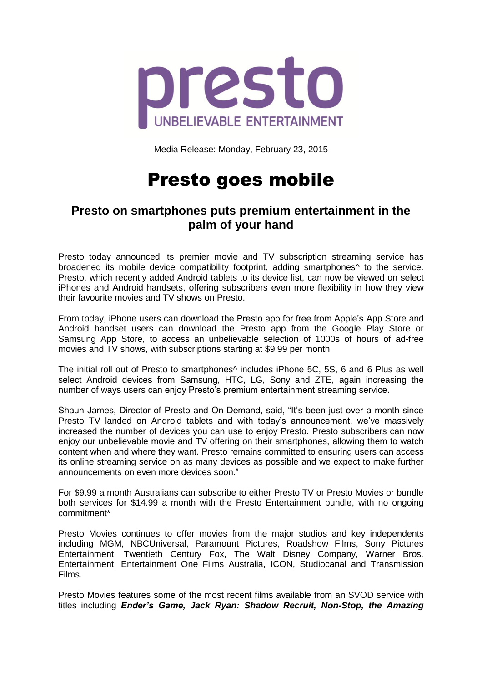

Media Release: Monday, February 23, 2015

## Presto goes mobile

## **Presto on smartphones puts premium entertainment in the palm of your hand**

Presto today announced its premier movie and TV subscription streaming service has broadened its mobile device compatibility footprint, adding smartphones^ to the service. Presto, which recently added Android tablets to its device list, can now be viewed on select iPhones and Android handsets, offering subscribers even more flexibility in how they view their favourite movies and TV shows on Presto.

From today, iPhone users can download the Presto app for free from Apple's App Store and Android handset users can download the Presto app from the Google Play Store or Samsung App Store, to access an unbelievable selection of 1000s of hours of ad-free movies and TV shows, with subscriptions starting at \$9.99 per month.

The initial roll out of Presto to smartphones^ includes iPhone 5C, 5S, 6 and 6 Plus as well select Android devices from Samsung, HTC, LG, Sony and ZTE, again increasing the number of ways users can enjoy Presto's premium entertainment streaming service.

Shaun James, Director of Presto and On Demand, said, "It's been just over a month since Presto TV landed on Android tablets and with today's announcement, we've massively increased the number of devices you can use to enjoy Presto. Presto subscribers can now enjoy our unbelievable movie and TV offering on their smartphones, allowing them to watch content when and where they want. Presto remains committed to ensuring users can access its online streaming service on as many devices as possible and we expect to make further announcements on even more devices soon."

For \$9.99 a month Australians can subscribe to either Presto TV or Presto Movies or bundle both services for \$14.99 a month with the Presto Entertainment bundle, with no ongoing commitment\*

Presto Movies continues to offer movies from the major studios and key independents including MGM, NBCUniversal, Paramount Pictures, Roadshow Films, Sony Pictures Entertainment, Twentieth Century Fox, The Walt Disney Company, Warner Bros. Entertainment, Entertainment One Films Australia, ICON, Studiocanal and Transmission Films.

Presto Movies features some of the most recent films available from an SVOD service with titles including *Ender's Game, Jack Ryan: Shadow Recruit, Non-Stop, the Amazing*